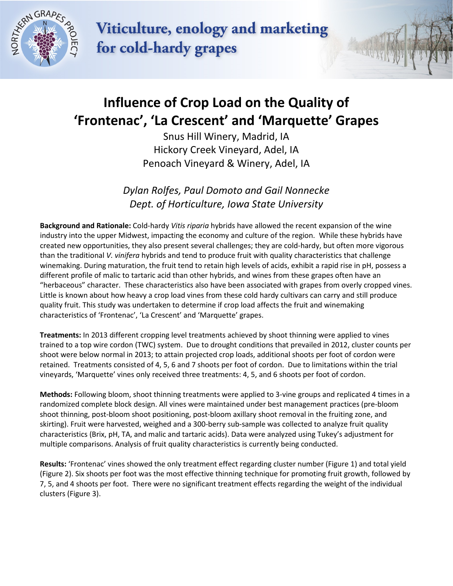

Viticulture, enology and marketing for cold-hardy grapes

## **Influence of Crop Load on the Quality of 'Frontenac' , 'La Crescent' and 'Marquette' Grapes**

Snus Hill Winery, Madrid, IA Hickory Creek Vineyard, Adel, IA Penoach Vineyard & Winery, Adel, IA

*Dylan Rolfes, Paul Domoto and Gail Nonnecke Dept. of Horticulture, Iowa State University*

**Background and Rationale:** Cold-hardy *Vitis riparia* hybrids have allowed the recent expansion of the wine industry into the upper Midwest, impacting the economy and culture of the region. While these hybrids have created new opportunities, they also present several challenges; they are cold-hardy, but often more vigorous than the traditional *V. vinifera* hybrids and tend to produce fruit with quality characteristics that challenge winemaking. During maturation, the fruit tend to retain high levels of acids, exhibit a rapid rise in pH, possess a different profile of malic to tartaric acid than other hybrids, and wines from these grapes often have an "herbaceous" character. These characteristics also have been associated with grapes from overly cropped vines. Little is known about how heavy a crop load vines from these cold hardy cultivars can carry and still produce quality fruit. This study was undertaken to determine if crop load affects the fruit and winemaking characteristics of 'Frontenac', 'La Crescent' and 'Marquette' grapes.

**Treatments:** In 2013 different cropping level treatments achieved by shoot thinning were applied to vines trained to a top wire cordon (TWC) system. Due to drought conditions that prevailed in 2012, cluster counts per shoot were below normal in 2013; to attain projected crop loads, additional shoots per foot of cordon were retained. Treatments consisted of 4, 5, 6 and 7 shoots per foot of cordon. Due to limitations within the trial vineyards, 'Marquette' vines only received three treatments: 4, 5, and 6 shoots per foot of cordon.

**Methods:** Following bloom, shoot thinning treatments were applied to 3-vine groups and replicated 4 times in a randomized complete block design. All vines were maintained under best management practices (pre-bloom shoot thinning, post-bloom shoot positioning, post-bloom axillary shoot removal in the fruiting zone, and skirting). Fruit were harvested, weighed and a 300-berry sub-sample was collected to analyze fruit quality characteristics (Brix, pH, TA, and malic and tartaric acids). Data were analyzed using Tukey's adjustment for multiple comparisons. Analysis of fruit quality characteristics is currently being conducted.

**Results:** 'Frontenac' vines showed the only treatment effect regarding cluster number (Figure 1) and total yield (Figure 2). Six shoots per foot was the most effective thinning technique for promoting fruit growth, followed by 7, 5, and 4 shoots per foot. There were no significant treatment effects regarding the weight of the individual clusters (Figure 3).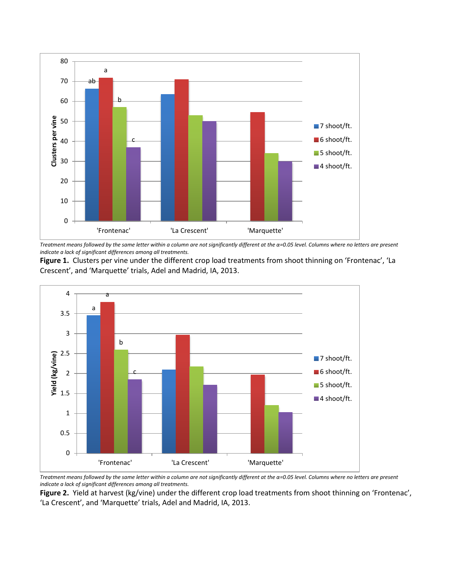

*Treatment means followed by the same letter within a column are not significantly different at the α=0.05 level. Columns where no letters are present indicate a lack of significant differences among all treatments.*

**Figure 1.** Clusters per vine under the different crop load treatments from shoot thinning on 'Frontenac', 'La Crescent', and 'Marquette' trials, Adel and Madrid, IA, 2013.



*Treatment means followed by the same letter within a column are not significantly different at the α=0.05 level. Columns where no letters are present indicate a lack of significant differences among all treatments.*

**Figure 2.** Yield at harvest (kg/vine) under the different crop load treatments from shoot thinning on 'Frontenac', 'La Crescent', and 'Marquette' trials, Adel and Madrid, IA, 2013.